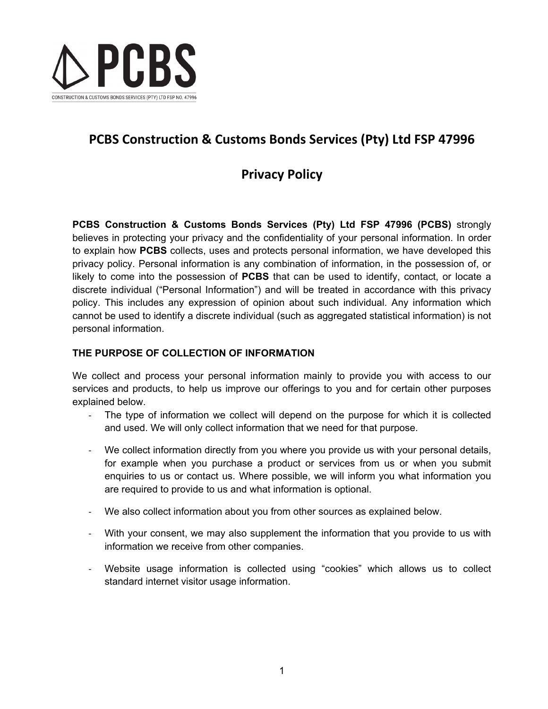

# **PCBS Construction & Customs Bonds Services (Pty) Ltd FSP 47996**

## **Privacy Policy**

**PCBS Construction & Customs Bonds Services (Pty) Ltd FSP 47996 (PCBS)** strongly believes in protecting your privacy and the confidentiality of your personal information. In order to explain how **PCBS** collects, uses and protects personal information, we have developed this privacy policy. Personal information is any combination of information, in the possession of, or likely to come into the possession of **PCBS** that can be used to identify, contact, or locate a discrete individual ("Personal Information") and will be treated in accordance with this privacy policy. This includes any expression of opinion about such individual. Any information which cannot be used to identify a discrete individual (such as aggregated statistical information) is not personal information.

## **THE PURPOSE OF COLLECTION OF INFORMATION**

We collect and process your personal information mainly to provide you with access to our services and products, to help us improve our offerings to you and for certain other purposes explained below.

- The type of information we collect will depend on the purpose for which it is collected and used. We will only collect information that we need for that purpose.
- We collect information directly from you where you provide us with your personal details, for example when you purchase a product or services from us or when you submit enquiries to us or contact us. Where possible, we will inform you what information you are required to provide to us and what information is optional.
- We also collect information about you from other sources as explained below.
- With your consent, we may also supplement the information that you provide to us with information we receive from other companies.
- Website usage information is collected using "cookies" which allows us to collect standard internet visitor usage information.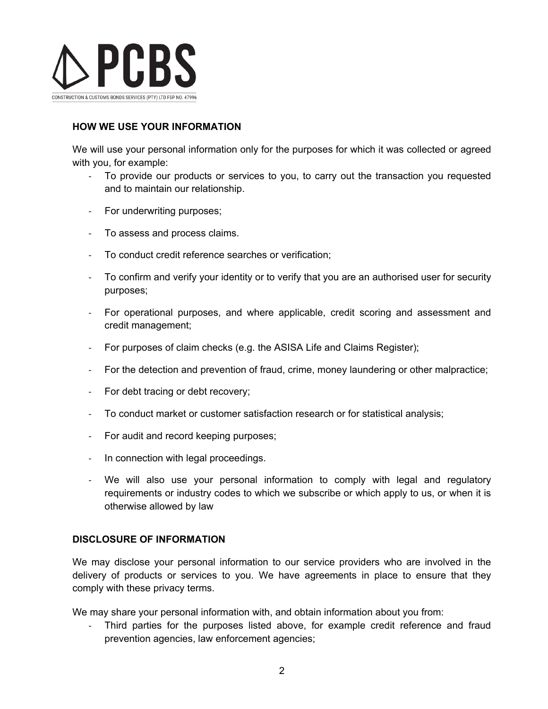

## **HOW WE USE YOUR INFORMATION**

We will use your personal information only for the purposes for which it was collected or agreed with you, for example:

- To provide our products or services to you, to carry out the transaction you requested and to maintain our relationship.
- For underwriting purposes;
- To assess and process claims.
- To conduct credit reference searches or verification;
- To confirm and verify your identity or to verify that you are an authorised user for security purposes;
- For operational purposes, and where applicable, credit scoring and assessment and credit management;
- For purposes of claim checks (e.g. the ASISA Life and Claims Register);
- For the detection and prevention of fraud, crime, money laundering or other malpractice;
- For debt tracing or debt recovery;
- To conduct market or customer satisfaction research or for statistical analysis;
- For audit and record keeping purposes;
- In connection with legal proceedings.
- We will also use your personal information to comply with legal and regulatory requirements or industry codes to which we subscribe or which apply to us, or when it is otherwise allowed by law

### **DISCLOSURE OF INFORMATION**

We may disclose your personal information to our service providers who are involved in the delivery of products or services to you. We have agreements in place to ensure that they comply with these privacy terms.

We may share your personal information with, and obtain information about you from:

- Third parties for the purposes listed above, for example credit reference and fraud prevention agencies, law enforcement agencies;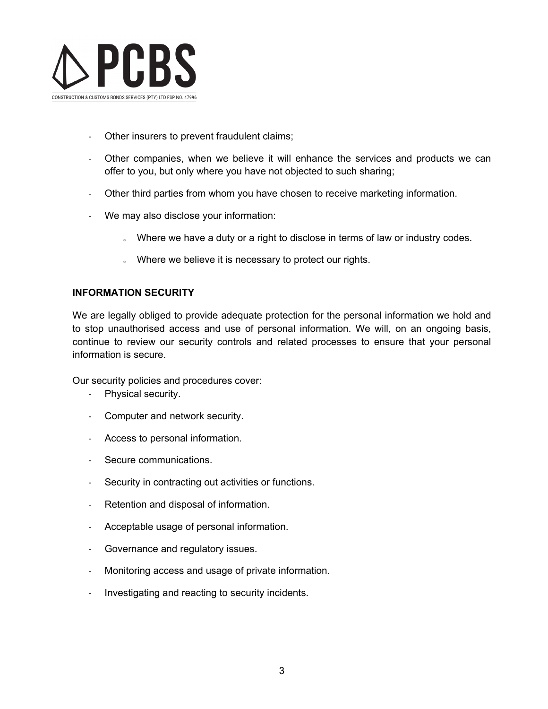

- Other insurers to prevent fraudulent claims;
- Other companies, when we believe it will enhance the services and products we can offer to you, but only where you have not objected to such sharing;
- Other third parties from whom you have chosen to receive marketing information.
- We may also disclose your information:
	- $\sim$  Where we have a duty or a right to disclose in terms of law or industry codes.
	- o Where we believe it is necessary to protect our rights.

### **INFORMATION SECURITY**

We are legally obliged to provide adequate protection for the personal information we hold and to stop unauthorised access and use of personal information. We will, on an ongoing basis, continue to review our security controls and related processes to ensure that your personal information is secure.

Our security policies and procedures cover:

- Physical security.
- Computer and network security.
- Access to personal information.
- Secure communications.
- Security in contracting out activities or functions.
- Retention and disposal of information.
- Acceptable usage of personal information.
- Governance and regulatory issues.
- Monitoring access and usage of private information.
- Investigating and reacting to security incidents.